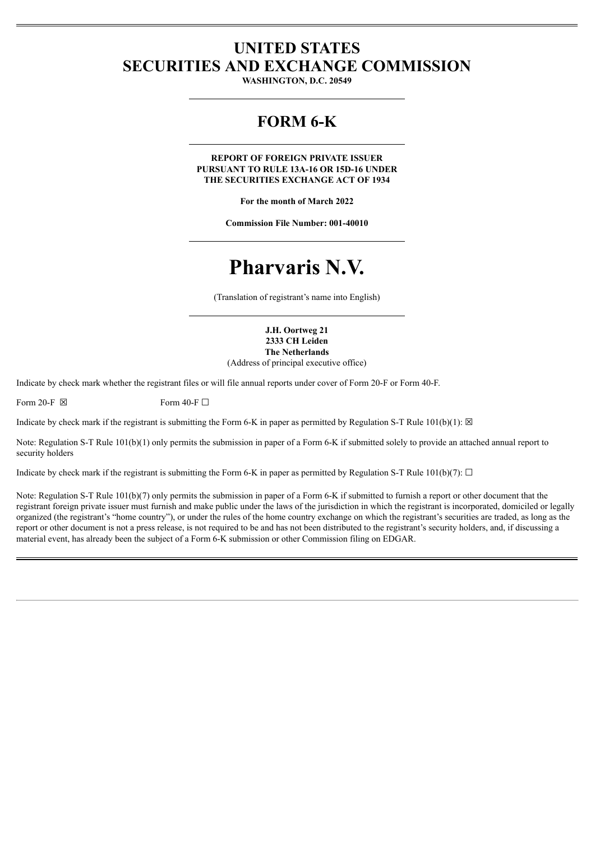### **UNITED STATES SECURITIES AND EXCHANGE COMMISSION**

**WASHINGTON, D.C. 20549**

## **FORM 6-K**

**REPORT OF FOREIGN PRIVATE ISSUER PURSUANT TO RULE 13A-16 OR 15D-16 UNDER THE SECURITIES EXCHANGE ACT OF 1934**

**For the month of March 2022**

**Commission File Number: 001-40010**

## **Pharvaris N.V.**

(Translation of registrant's name into English)

**J.H. Oortweg 21 2333 CH Leiden The Netherlands** (Address of principal executive office)

Indicate by check mark whether the registrant files or will file annual reports under cover of Form 20-F or Form 40-F.

Form  $20-F \times 7$ 

Indicate by check mark if the registrant is submitting the Form 6-K in paper as permitted by Regulation S-T Rule 101(b)(1):  $\boxtimes$ 

Note: Regulation S-T Rule 101(b)(1) only permits the submission in paper of a Form 6-K if submitted solely to provide an attached annual report to security holders

Indicate by check mark if the registrant is submitting the Form 6-K in paper as permitted by Regulation S-T Rule 101(b)(7):  $\Box$ 

Note: Regulation S-T Rule 101(b)(7) only permits the submission in paper of a Form 6-K if submitted to furnish a report or other document that the registrant foreign private issuer must furnish and make public under the laws of the jurisdiction in which the registrant is incorporated, domiciled or legally organized (the registrant's "home country"), or under the rules of the home country exchange on which the registrant's securities are traded, as long as the report or other document is not a press release, is not required to be and has not been distributed to the registrant's security holders, and, if discussing a material event, has already been the subject of a Form 6-K submission or other Commission filing on EDGAR.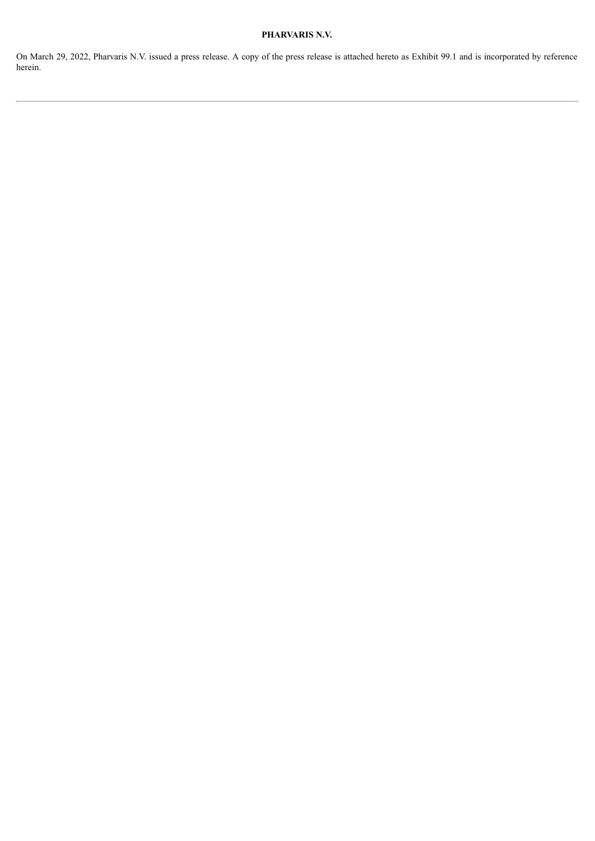#### **PHARVARIS N.V.**

On March 29, 2022, Pharvaris N.V. issued a press release. A copy of the press release is attached hereto as Exhibit 99.1 and is incorporated by reference herein.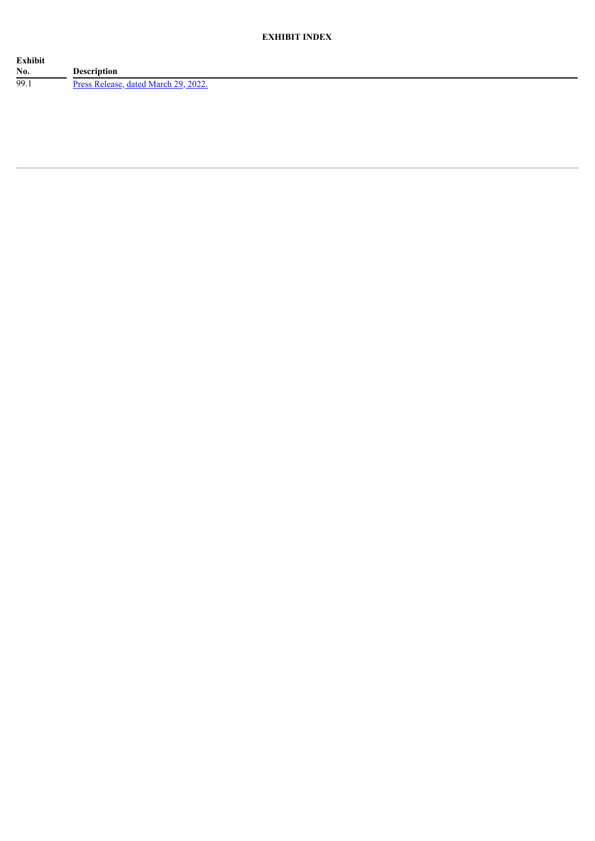| <b>Exhibit</b> |                                      |
|----------------|--------------------------------------|
| No.            | <b>Description</b>                   |
| 99.1           | Press Release, dated March 29, 2022. |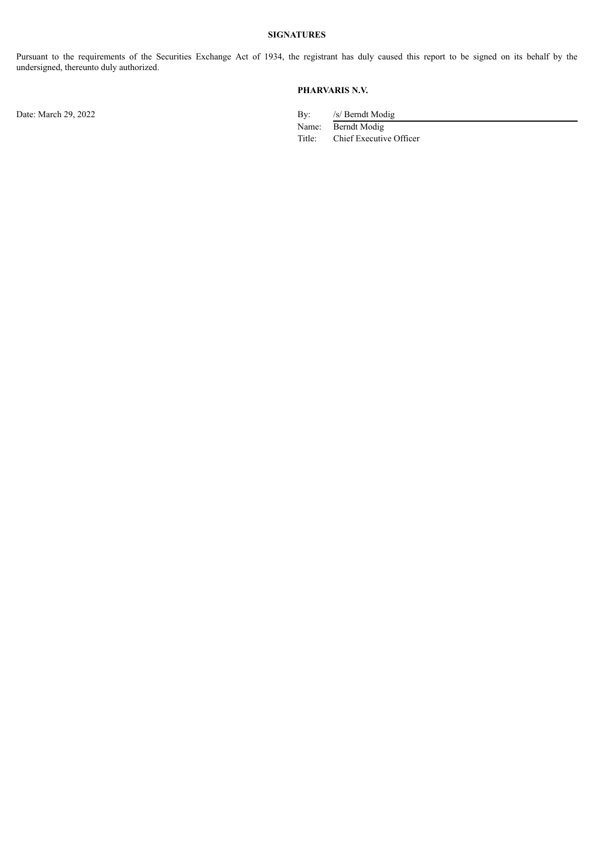#### **SIGNATURES**

Pursuant to the requirements of the Securities Exchange Act of 1934, the registrant has duly caused this report to be signed on its behalf by the undersigned, thereunto duly authorized.

#### **PHARVARIS N.V.**

Date: March 29, 2022 By: /s/ Berndt Modig

Name: Berndt Modig Title: Chief Executive Officer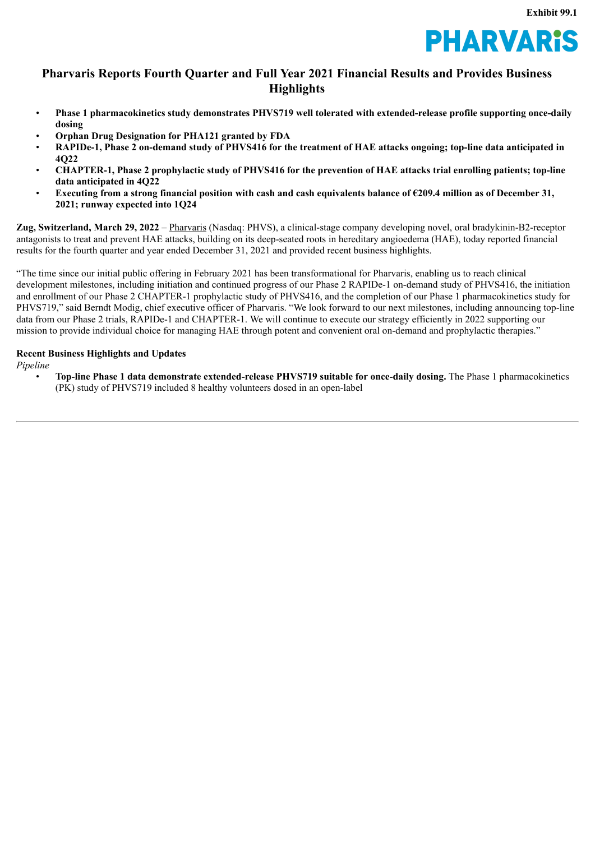

#### <span id="page-4-0"></span>**Pharvaris Reports Fourth Quarter and Full Year 2021 Financial Results and Provides Business Highlights**

- **Phase 1 pharmacokinetics study demonstrates PHVS719 well tolerated with extended-release profile supporting once-daily dosing**
- **Orphan Drug Designation for PHA121 granted by FDA**
- RAPIDe-1, Phase 2 on-demand study of PHVS416 for the treatment of HAE attacks ongoing; top-line data anticipated in **4Q22**
- CHAPTER-1, Phase 2 prophylactic study of PHVS416 for the prevention of HAE attacks trial enrolling patients; top-line **data anticipated in 4Q22**
- Executing from a strong financial position with cash and cash equivalents balance of  $\epsilon$ 209.4 million as of December 31, **2021; runway expected into 1Q24**

**Zug, Switzerland, March 29, 2022** – Pharvaris (Nasdaq: PHVS), a clinical-stage company developing novel, oral bradykinin-B2-receptor antagonists to treat and prevent HAE attacks, building on its deep-seated roots in hereditary angioedema (HAE), today reported financial results for the fourth quarter and year ended December 31, 2021 and provided recent business highlights.

"The time since our initial public offering in February 2021 has been transformational for Pharvaris, enabling us to reach clinical development milestones, including initiation and continued progress of our Phase 2 RAPIDe-1 on-demand study of PHVS416, the initiation and enrollment of our Phase 2 CHAPTER-1 prophylactic study of PHVS416, and the completion of our Phase 1 pharmacokinetics study for PHVS719," said Berndt Modig, chief executive officer of Pharvaris. "We look forward to our next milestones, including announcing top-line data from our Phase 2 trials, RAPIDe-1 and CHAPTER-1. We will continue to execute our strategy efficiently in 2022 supporting our mission to provide individual choice for managing HAE through potent and convenient oral on-demand and prophylactic therapies."

#### **Recent Business Highlights and Updates**

*Pipeline*

• **Top-line Phase 1 data demonstrate extended-release PHVS719 suitable for once-daily dosing.** The Phase 1 pharmacokinetics (PK) study of PHVS719 included 8 healthy volunteers dosed in an open-label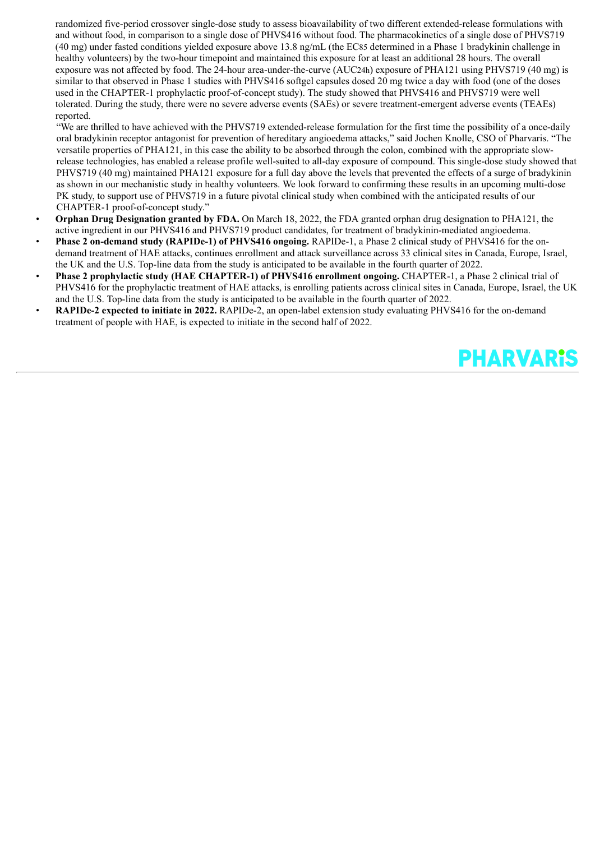randomized five-period crossover single-dose study to assess bioavailability of two different extended-release formulations with and without food, in comparison to a single dose of PHVS416 without food. The pharmacokinetics of a single dose of PHVS719 (40 mg) under fasted conditions yielded exposure above 13.8 ng/mL (the EC85 determined in a Phase 1 bradykinin challenge in healthy volunteers) by the two-hour timepoint and maintained this exposure for at least an additional 28 hours. The overall exposure was not affected by food. The 24-hour area-under-the-curve (AUC24h) exposure of PHA121 using PHVS719 (40 mg) is similar to that observed in Phase 1 studies with PHVS416 softgel capsules dosed 20 mg twice a day with food (one of the doses used in the CHAPTER-1 prophylactic proof-of-concept study). The study showed that PHVS416 and PHVS719 were well tolerated. During the study, there were no severe adverse events (SAEs) or severe treatment-emergent adverse events (TEAEs) reported.

"We are thrilled to have achieved with the PHVS719 extended-release formulation for the first time the possibility of a once-daily oral bradykinin receptor antagonist for prevention of hereditary angioedema attacks," said Jochen Knolle, CSO of Pharvaris. "The versatile properties of PHA121, in this case the ability to be absorbed through the colon, combined with the appropriate slowrelease technologies, has enabled a release profile well-suited to all-day exposure of compound. This single-dose study showed that PHVS719 (40 mg) maintained PHA121 exposure for a full day above the levels that prevented the effects of a surge of bradykinin as shown in our mechanistic study in healthy volunteers. We look forward to confirming these results in an upcoming multi-dose PK study, to support use of PHVS719 in a future pivotal clinical study when combined with the anticipated results of our CHAPTER-1 proof-of-concept study."

- **Orphan Drug Designation granted by FDA.** On March 18, 2022, the FDA granted orphan drug designation to PHA121, the active ingredient in our PHVS416 and PHVS719 product candidates, for treatment of bradykinin-mediated angioedema.
- **Phase 2 on-demand study (RAPIDe-1) of PHVS416 ongoing.** RAPIDe-1, a Phase 2 clinical study of PHVS416 for the ondemand treatment of HAE attacks, continues enrollment and attack surveillance across 33 clinical sites in Canada, Europe, Israel, the UK and the U.S. Top-line data from the study is anticipated to be available in the fourth quarter of 2022.
- **Phase 2 prophylactic study (HAE CHAPTER-1) of PHVS416 enrollment ongoing.** CHAPTER-1, a Phase 2 clinical trial of PHVS416 for the prophylactic treatment of HAE attacks, is enrolling patients across clinical sites in Canada, Europe, Israel, the UK and the U.S. Top-line data from the study is anticipated to be available in the fourth quarter of 2022.
- **RAPIDe-2 expected to initiate in 2022.** RAPIDe-2, an open-label extension study evaluating PHVS416 for the on-demand treatment of people with HAE, is expected to initiate in the second half of 2022.

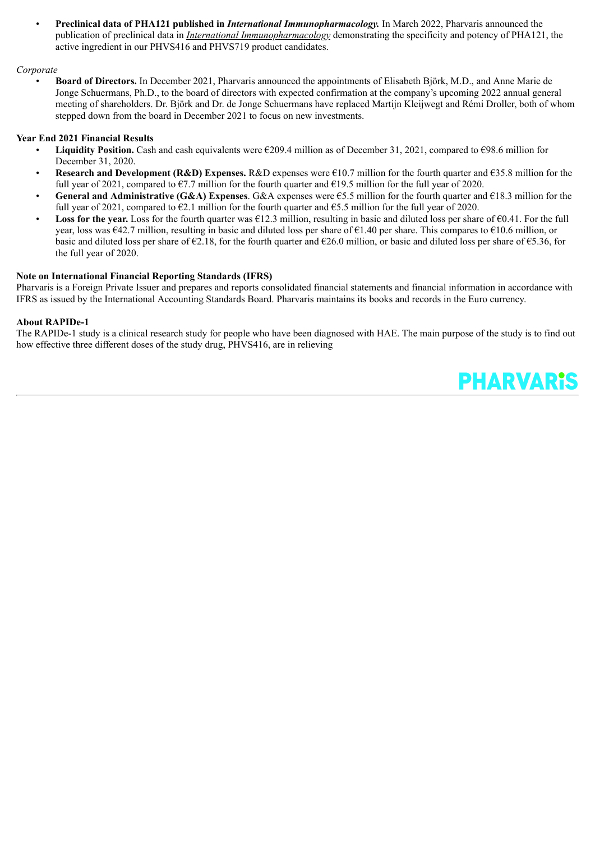• **Preclinical data of PHA121 published in** *International Immunopharmacology.* In March 2022, Pharvaris announced the publication of preclinical data in *International Immunopharmacology* demonstrating the specificity and potency of PHA121, the active ingredient in our PHVS416 and PHVS719 product candidates.

#### *Corporate*

• **Board of Directors.** In December 2021, Pharvaris announced the appointments of Elisabeth Björk, M.D., and Anne Marie de Jonge Schuermans, Ph.D., to the board of directors with expected confirmation at the company's upcoming 2022 annual general meeting of shareholders. Dr. Björk and Dr. de Jonge Schuermans have replaced Martijn Kleijwegt and Rémi Droller, both of whom stepped down from the board in December 2021 to focus on new investments.

#### **Year End 2021 Financial Results**

- **Liquidity Position.** Cash and cash equivalents were €209.4 million as of December 31, 2021, compared to €98.6 million for December 31, 2020.
- **Research and Development (R&D) Expenses.** R&D expenses were €10.7 million for the fourth quarter and €35.8 million for the full year of 2021, compared to  $\epsilon$ 7.7 million for the fourth quarter and  $\epsilon$ 19.5 million for the full year of 2020.
- **General and Administrative (G&A) Expenses**. G&A expenses were €5.5 million for the fourth quarter and €18.3 million for the full year of 2021, compared to  $\epsilon$ 2.1 million for the fourth quarter and  $\epsilon$ 5.5 million for the full year of 2020.
- **Loss for the year.** Loss for the fourth quarter was  $\epsilon$ 12.3 million, resulting in basic and diluted loss per share of  $\epsilon$ 0.41. For the full year, loss was €42.7 million, resulting in basic and diluted loss per share of €1.40 per share. This compares to €10.6 million, or basic and diluted loss per share of  $\epsilon$ 2.18, for the fourth quarter and  $\epsilon$ 26.0 million, or basic and diluted loss per share of  $\epsilon$ 5.36, for the full year of 2020.

#### **Note on International Financial Reporting Standards (IFRS)**

Pharvaris is a Foreign Private Issuer and prepares and reports consolidated financial statements and financial information in accordance with IFRS as issued by the International Accounting Standards Board. Pharvaris maintains its books and records in the Euro currency.

#### **About RAPIDe-1**

The RAPIDe-1 study is a clinical research study for people who have been diagnosed with HAE. The main purpose of the study is to find out how effective three different doses of the study drug, PHVS416, are in relieving

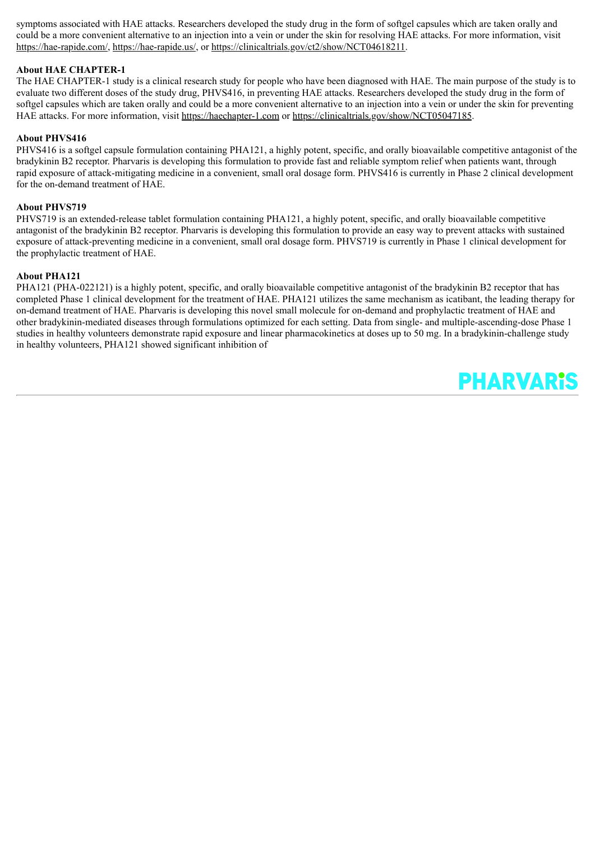symptoms associated with HAE attacks. Researchers developed the study drug in the form of softgel capsules which are taken orally and could be a more convenient alternative to an injection into a vein or under the skin for resolving HAE attacks. For more information, visit https://hae-rapide.com/, https://hae-rapide.us/, or https://clinicaltrials.gov/ct2/show/NCT04618211.

#### **About HAE CHAPTER-1**

The HAE CHAPTER-1 study is a clinical research study for people who have been diagnosed with HAE. The main purpose of the study is to evaluate two different doses of the study drug, PHVS416, in preventing HAE attacks. Researchers developed the study drug in the form of softgel capsules which are taken orally and could be a more convenient alternative to an injection into a vein or under the skin for preventing HAE attacks. For more information, visit https://haechapter-1.com or https://clinicaltrials.gov/show/NCT05047185.

#### **About PHVS416**

PHVS416 is a softgel capsule formulation containing PHA121, a highly potent, specific, and orally bioavailable competitive antagonist of the bradykinin B2 receptor. Pharvaris is developing this formulation to provide fast and reliable symptom relief when patients want, through rapid exposure of attack-mitigating medicine in a convenient, small oral dosage form. PHVS416 is currently in Phase 2 clinical development for the on-demand treatment of HAE.

#### **About PHVS719**

PHVS719 is an extended-release tablet formulation containing PHA121, a highly potent, specific, and orally bioavailable competitive antagonist of the bradykinin B2 receptor. Pharvaris is developing this formulation to provide an easy way to prevent attacks with sustained exposure of attack-preventing medicine in a convenient, small oral dosage form. PHVS719 is currently in Phase 1 clinical development for the prophylactic treatment of HAE.

#### **About PHA121**

PHA121 (PHA-022121) is a highly potent, specific, and orally bioavailable competitive antagonist of the bradykinin B2 receptor that has completed Phase 1 clinical development for the treatment of HAE. PHA121 utilizes the same mechanism as icatibant, the leading therapy for on-demand treatment of HAE. Pharvaris is developing this novel small molecule for on-demand and prophylactic treatment of HAE and other bradykinin-mediated diseases through formulations optimized for each setting. Data from single- and multiple-ascending-dose Phase 1 studies in healthy volunteers demonstrate rapid exposure and linear pharmacokinetics at doses up to 50 mg. In a bradykinin-challenge study in healthy volunteers, PHA121 showed significant inhibition of

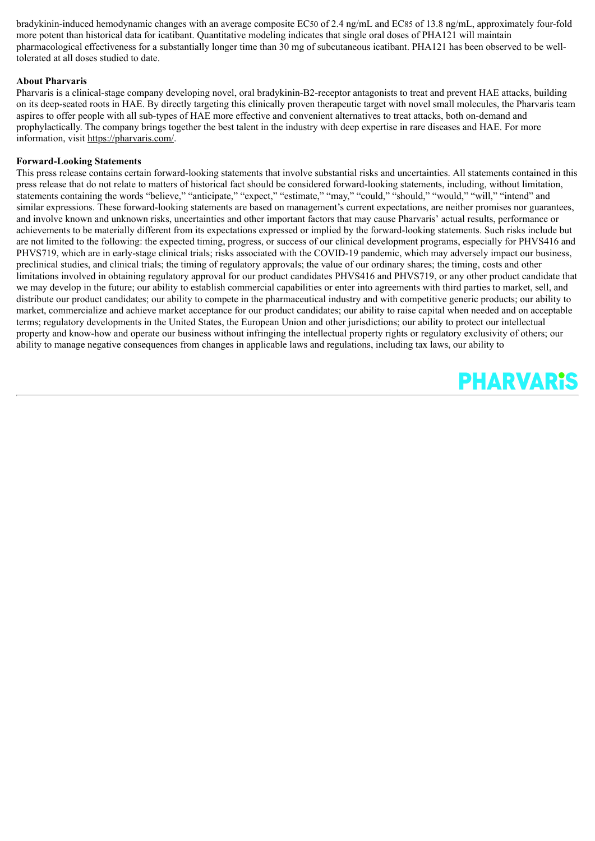bradykinin-induced hemodynamic changes with an average composite EC50 of 2.4 ng/mL and EC85 of 13.8 ng/mL, approximately four-fold more potent than historical data for icatibant. Quantitative modeling indicates that single oral doses of PHA121 will maintain pharmacological effectiveness for a substantially longer time than 30 mg of subcutaneous icatibant. PHA121 has been observed to be welltolerated at all doses studied to date.

#### **About Pharvaris**

Pharvaris is a clinical-stage company developing novel, oral bradykinin-B2-receptor antagonists to treat and prevent HAE attacks, building on its deep-seated roots in HAE. By directly targeting this clinically proven therapeutic target with novel small molecules, the Pharvaris team aspires to offer people with all sub-types of HAE more effective and convenient alternatives to treat attacks, both on-demand and prophylactically. The company brings together the best talent in the industry with deep expertise in rare diseases and HAE. For more information, visit https://pharvaris.com/.

#### **Forward-Looking Statements**

This press release contains certain forward-looking statements that involve substantial risks and uncertainties. All statements contained in this press release that do not relate to matters of historical fact should be considered forward-looking statements, including, without limitation, statements containing the words "believe," "anticipate," "expect," "estimate," "may," "could," "should," "would," "will," "intend" and similar expressions. These forward-looking statements are based on management's current expectations, are neither promises nor guarantees, and involve known and unknown risks, uncertainties and other important factors that may cause Pharvaris' actual results, performance or achievements to be materially different from its expectations expressed or implied by the forward-looking statements. Such risks include but are not limited to the following: the expected timing, progress, or success of our clinical development programs, especially for PHVS416 and PHVS719, which are in early-stage clinical trials; risks associated with the COVID-19 pandemic, which may adversely impact our business, preclinical studies, and clinical trials; the timing of regulatory approvals; the value of our ordinary shares; the timing, costs and other limitations involved in obtaining regulatory approval for our product candidates PHVS416 and PHVS719, or any other product candidate that we may develop in the future; our ability to establish commercial capabilities or enter into agreements with third parties to market, sell, and distribute our product candidates; our ability to compete in the pharmaceutical industry and with competitive generic products; our ability to market, commercialize and achieve market acceptance for our product candidates; our ability to raise capital when needed and on acceptable terms; regulatory developments in the United States, the European Union and other jurisdictions; our ability to protect our intellectual property and know-how and operate our business without infringing the intellectual property rights or regulatory exclusivity of others; our ability to manage negative consequences from changes in applicable laws and regulations, including tax laws, our ability to